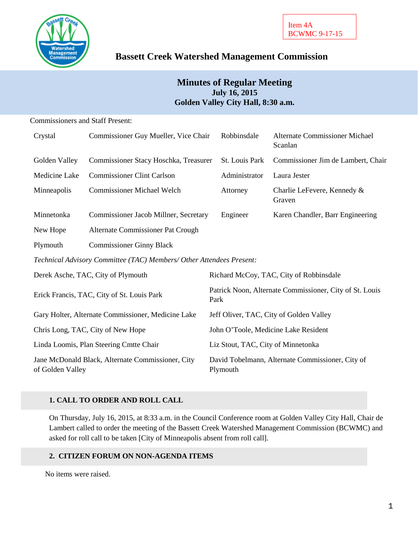

# **Bassett Creek Watershed Management Commission**

# **Minutes of Regular Meeting July 16, 2015 Golden Valley City Hall, 8:30 a.m.**

Commissioners and Staff Present:

| Crystal                                                               | Commissioner Guy Mueller, Vice Chair  | Robbinsdale                                                     | Alternate Commissioner Michael<br>Scanlan |  |
|-----------------------------------------------------------------------|---------------------------------------|-----------------------------------------------------------------|-------------------------------------------|--|
| Golden Valley                                                         | Commissioner Stacy Hoschka, Treasurer | St. Louis Park                                                  | Commissioner Jim de Lambert, Chair        |  |
| Medicine Lake                                                         | <b>Commissioner Clint Carlson</b>     | Administrator                                                   | Laura Jester                              |  |
| Minneapolis                                                           | <b>Commissioner Michael Welch</b>     | Attorney                                                        | Charlie LeFevere, Kennedy &<br>Graven     |  |
| Minnetonka                                                            | Commissioner Jacob Millner, Secretary | Engineer                                                        | Karen Chandler, Barr Engineering          |  |
| New Hope                                                              | Alternate Commissioner Pat Crough     |                                                                 |                                           |  |
| Plymouth                                                              | <b>Commissioner Ginny Black</b>       |                                                                 |                                           |  |
| Technical Advisory Committee (TAC) Members/ Other Attendees Present:  |                                       |                                                                 |                                           |  |
| Derek Asche, TAC, City of Plymouth                                    |                                       | Richard McCoy, TAC, City of Robbinsdale                         |                                           |  |
| Erick Francis, TAC, City of St. Louis Park                            |                                       | Patrick Noon, Alternate Commissioner, City of St. Louis<br>Park |                                           |  |
| Gary Holter, Alternate Commissioner, Medicine Lake                    |                                       | Jeff Oliver, TAC, City of Golden Valley                         |                                           |  |
| Chris Long, TAC, City of New Hope                                     |                                       | John O'Toole, Medicine Lake Resident                            |                                           |  |
| Linda Loomis, Plan Steering Cmtte Chair                               |                                       | Liz Stout, TAC, City of Minnetonka                              |                                           |  |
| Jane McDonald Black, Alternate Commissioner, City<br>of Golden Valley |                                       | David Tobelmann, Alternate Commissioner, City of<br>Plymouth    |                                           |  |

# **1. CALL TO ORDER AND ROLL CALL**

On Thursday, July 16, 2015, at 8:33 a.m. in the Council Conference room at Golden Valley City Hall, Chair de Lambert called to order the meeting of the Bassett Creek Watershed Management Commission (BCWMC) and asked for roll call to be taken [City of Minneapolis absent from roll call].

### **2. CITIZEN FORUM ON NON-AGENDA ITEMS**

No items were raised.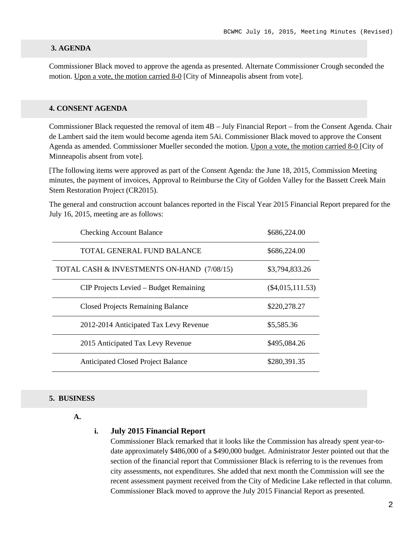#### **3. AGENDA**

Commissioner Black moved to approve the agenda as presented. Alternate Commissioner Crough seconded the motion. Upon a vote, the motion carried 8-0 [City of Minneapolis absent from vote].

### **4. CONSENT AGENDA**

Commissioner Black requested the removal of item 4B – July Financial Report – from the Consent Agenda. Chair de Lambert said the item would become agenda item 5Ai. Commissioner Black moved to approve the Consent Agenda as amended. Commissioner Mueller seconded the motion. Upon a vote, the motion carried 8-0 [City of Minneapolis absent from vote].

[The following items were approved as part of the Consent Agenda: the June 18, 2015, Commission Meeting minutes, the payment of invoices, Approval to Reimburse the City of Golden Valley for the Bassett Creek Main Stem Restoration Project (CR2015).

The general and construction account balances reported in the Fiscal Year 2015 Financial Report prepared for the July 16, 2015, meeting are as follows:

| <b>Checking Account Balance</b>            | \$686,224.00       |
|--------------------------------------------|--------------------|
| TOTAL GENERAL FUND BALANCE                 | \$686,224.00       |
| TOTAL CASH & INVESTMENTS ON-HAND (7/08/15) | \$3,794,833.26     |
| CIP Projects Levied – Budget Remaining     | $(\$4,015,111.53)$ |
| <b>Closed Projects Remaining Balance</b>   | \$220,278.27       |
| 2012-2014 Anticipated Tax Levy Revenue     | \$5,585.36         |
| 2015 Anticipated Tax Levy Revenue          | \$495,084.26       |
| <b>Anticipated Closed Project Balance</b>  | \$280,391.35       |

#### **5. BUSINESS**

**A.**

#### **i. July 2015 Financial Report**

Commissioner Black remarked that it looks like the Commission has already spent year-todate approximately \$486,000 of a \$490,000 budget. Administrator Jester pointed out that the section of the financial report that Commissioner Black is referring to is the revenues from city assessments, not expenditures. She added that next month the Commission will see the recent assessment payment received from the City of Medicine Lake reflected in that column. Commissioner Black moved to approve the July 2015 Financial Report as presented.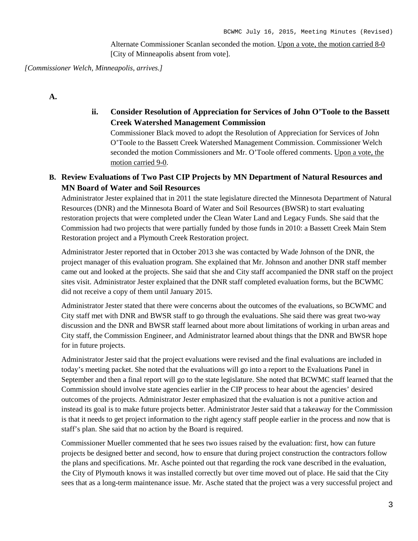Alternate Commissioner Scanlan seconded the motion. Upon a vote, the motion carried 8-0 [City of Minneapolis absent from vote].

*[Commissioner Welch, Minneapolis, arrives.]*

**A.**

**ii. Consider Resolution of Appreciation for Services of John O'Toole to the Bassett Creek Watershed Management Commission**

Commissioner Black moved to adopt the Resolution of Appreciation for Services of John O'Toole to the Bassett Creek Watershed Management Commission. Commissioner Welch seconded the motion Commissioners and Mr. O'Toole offered comments. Upon a vote, the motion carried 9-0.

# **B. Review Evaluations of Two Past CIP Projects by MN Department of Natural Resources and MN Board of Water and Soil Resources**

Administrator Jester explained that in 2011 the state legislature directed the Minnesota Department of Natural Resources (DNR) and the Minnesota Board of Water and Soil Resources (BWSR) to start evaluating restoration projects that were completed under the Clean Water Land and Legacy Funds. She said that the Commission had two projects that were partially funded by those funds in 2010: a Bassett Creek Main Stem Restoration project and a Plymouth Creek Restoration project.

Administrator Jester reported that in October 2013 she was contacted by Wade Johnson of the DNR, the project manager of this evaluation program. She explained that Mr. Johnson and another DNR staff member came out and looked at the projects. She said that she and City staff accompanied the DNR staff on the project sites visit. Administrator Jester explained that the DNR staff completed evaluation forms, but the BCWMC did not receive a copy of them until January 2015.

Administrator Jester stated that there were concerns about the outcomes of the evaluations, so BCWMC and City staff met with DNR and BWSR staff to go through the evaluations. She said there was great two-way discussion and the DNR and BWSR staff learned about more about limitations of working in urban areas and City staff, the Commission Engineer, and Administrator learned about things that the DNR and BWSR hope for in future projects.

Administrator Jester said that the project evaluations were revised and the final evaluations are included in today's meeting packet. She noted that the evaluations will go into a report to the Evaluations Panel in September and then a final report will go to the state legislature. She noted that BCWMC staff learned that the Commission should involve state agencies earlier in the CIP process to hear about the agencies' desired outcomes of the projects. Administrator Jester emphasized that the evaluation is not a punitive action and instead its goal is to make future projects better. Administrator Jester said that a takeaway for the Commission is that it needs to get project information to the right agency staff people earlier in the process and now that is staff's plan. She said that no action by the Board is required.

Commissioner Mueller commented that he sees two issues raised by the evaluation: first, how can future projects be designed better and second, how to ensure that during project construction the contractors follow the plans and specifications. Mr. Asche pointed out that regarding the rock vane described in the evaluation, the City of Plymouth knows it was installed correctly but over time moved out of place. He said that the City sees that as a long-term maintenance issue. Mr. Asche stated that the project was a very successful project and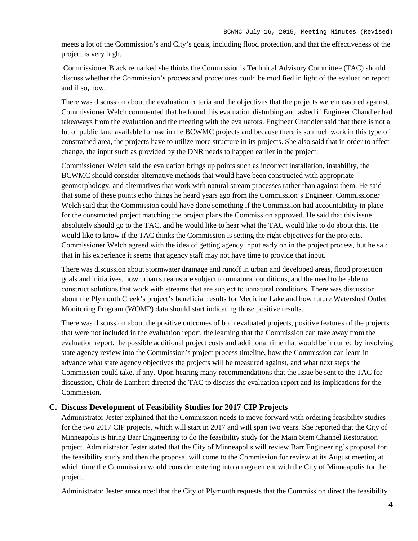meets a lot of the Commission's and City's goals, including flood protection, and that the effectiveness of the project is very high.

Commissioner Black remarked she thinks the Commission's Technical Advisory Committee (TAC) should discuss whether the Commission's process and procedures could be modified in light of the evaluation report and if so, how.

There was discussion about the evaluation criteria and the objectives that the projects were measured against. Commissioner Welch commented that he found this evaluation disturbing and asked if Engineer Chandler had takeaways from the evaluation and the meeting with the evaluators. Engineer Chandler said that there is not a lot of public land available for use in the BCWMC projects and because there is so much work in this type of constrained area, the projects have to utilize more structure in its projects. She also said that in order to affect change, the input such as provided by the DNR needs to happen earlier in the project.

Commissioner Welch said the evaluation brings up points such as incorrect installation, instability, the BCWMC should consider alternative methods that would have been constructed with appropriate geomorphology, and alternatives that work with natural stream processes rather than against them. He said that some of these points echo things he heard years ago from the Commission's Engineer. Commissioner Welch said that the Commission could have done something if the Commission had accountability in place for the constructed project matching the project plans the Commission approved. He said that this issue absolutely should go to the TAC, and he would like to hear what the TAC would like to do about this. He would like to know if the TAC thinks the Commission is setting the right objectives for the projects. Commissioner Welch agreed with the idea of getting agency input early on in the project process, but he said that in his experience it seems that agency staff may not have time to provide that input.

There was discussion about stormwater drainage and runoff in urban and developed areas, flood protection goals and initiatives, how urban streams are subject to unnatural conditions, and the need to be able to construct solutions that work with streams that are subject to unnatural conditions. There was discussion about the Plymouth Creek's project's beneficial results for Medicine Lake and how future Watershed Outlet Monitoring Program (WOMP) data should start indicating those positive results.

There was discussion about the positive outcomes of both evaluated projects, positive features of the projects that were not included in the evaluation report, the learning that the Commission can take away from the evaluation report, the possible additional project costs and additional time that would be incurred by involving state agency review into the Commission's project process timeline, how the Commission can learn in advance what state agency objectives the projects will be measured against, and what next steps the Commission could take, if any. Upon hearing many recommendations that the issue be sent to the TAC for discussion, Chair de Lambert directed the TAC to discuss the evaluation report and its implications for the Commission.

### **C. Discuss Development of Feasibility Studies for 2017 CIP Projects**

Administrator Jester explained that the Commission needs to move forward with ordering feasibility studies for the two 2017 CIP projects, which will start in 2017 and will span two years. She reported that the City of Minneapolis is hiring Barr Engineering to do the feasibility study for the Main Stem Channel Restoration project. Administrator Jester stated that the City of Minneapolis will review Barr Engineering's proposal for the feasibility study and then the proposal will come to the Commission for review at its August meeting at which time the Commission would consider entering into an agreement with the City of Minneapolis for the project.

Administrator Jester announced that the City of Plymouth requests that the Commission direct the feasibility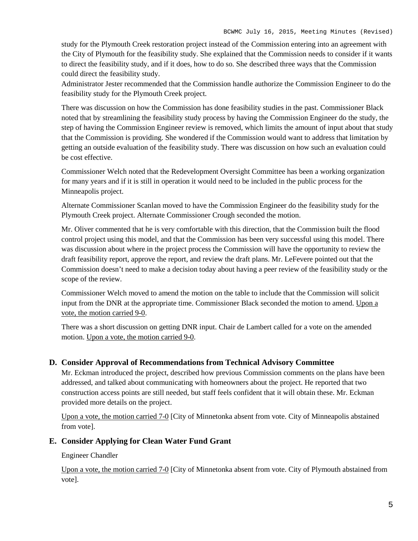study for the Plymouth Creek restoration project instead of the Commission entering into an agreement with the City of Plymouth for the feasibility study. She explained that the Commission needs to consider if it wants to direct the feasibility study, and if it does, how to do so. She described three ways that the Commission could direct the feasibility study.

Administrator Jester recommended that the Commission handle authorize the Commission Engineer to do the feasibility study for the Plymouth Creek project.

There was discussion on how the Commission has done feasibility studies in the past. Commissioner Black noted that by streamlining the feasibility study process by having the Commission Engineer do the study, the step of having the Commission Engineer review is removed, which limits the amount of input about that study that the Commission is providing. She wondered if the Commission would want to address that limitation by getting an outside evaluation of the feasibility study. There was discussion on how such an evaluation could be cost effective.

Commissioner Welch noted that the Redevelopment Oversight Committee has been a working organization for many years and if it is still in operation it would need to be included in the public process for the Minneapolis project.

Alternate Commissioner Scanlan moved to have the Commission Engineer do the feasibility study for the Plymouth Creek project. Alternate Commissioner Crough seconded the motion.

Mr. Oliver commented that he is very comfortable with this direction, that the Commission built the flood control project using this model, and that the Commission has been very successful using this model. There was discussion about where in the project process the Commission will have the opportunity to review the draft feasibility report, approve the report, and review the draft plans. Mr. LeFevere pointed out that the Commission doesn't need to make a decision today about having a peer review of the feasibility study or the scope of the review.

Commissioner Welch moved to amend the motion on the table to include that the Commission will solicit input from the DNR at the appropriate time. Commissioner Black seconded the motion to amend. Upon a vote, the motion carried 9-0.

There was a short discussion on getting DNR input. Chair de Lambert called for a vote on the amended motion. Upon a vote, the motion carried 9-0.

### **D. Consider Approval of Recommendations from Technical Advisory Committee**

Mr. Eckman introduced the project, described how previous Commission comments on the plans have been addressed, and talked about communicating with homeowners about the project. He reported that two construction access points are still needed, but staff feels confident that it will obtain these. Mr. Eckman provided more details on the project.

Upon a vote, the motion carried 7-0 [City of Minnetonka absent from vote. City of Minneapolis abstained from vote].

### **E. Consider Applying for Clean Water Fund Grant**

Engineer Chandler

Upon a vote, the motion carried 7-0 [City of Minnetonka absent from vote. City of Plymouth abstained from vote].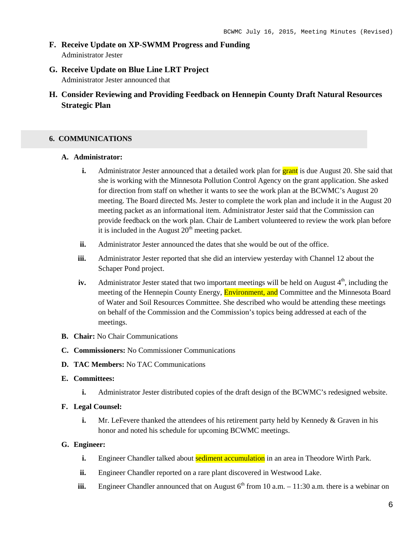- **F. Receive Update on XP-SWMM Progress and Funding** Administrator Jester
- **G. Receive Update on Blue Line LRT Project** Administrator Jester announced that
- **H. Consider Reviewing and Providing Feedback on Hennepin County Draft Natural Resources Strategic Plan**

### **6. COMMUNICATIONS**

#### **A. Administrator:**

- **i.** Administrator Jester announced that a detailed work plan for **grant** is due August 20. She said that she is working with the Minnesota Pollution Control Agency on the grant application. She asked for direction from staff on whether it wants to see the work plan at the BCWMC's August 20 meeting. The Board directed Ms. Jester to complete the work plan and include it in the August 20 meeting packet as an informational item. Administrator Jester said that the Commission can provide feedback on the work plan. Chair de Lambert volunteered to review the work plan before it is included in the August  $20<sup>th</sup>$  meeting packet.
- **ii.** Administrator Jester announced the dates that she would be out of the office.
- **iii.** Administrator Jester reported that she did an interview yesterday with Channel 12 about the Schaper Pond project.
- **iv.** Administrator Jester stated that two important meetings will be held on August  $4<sup>th</sup>$ , including the meeting of the Hennepin County Energy, **Environment, and** Committee and the Minnesota Board of Water and Soil Resources Committee. She described who would be attending these meetings on behalf of the Commission and the Commission's topics being addressed at each of the meetings.
- **B. Chair:** No Chair Communications
- **C. Commissioners:** No Commissioner Communications
- **D. TAC Members:** No TAC Communications

### **E. Committees:**

- **i.** Administrator Jester distributed copies of the draft design of the BCWMC's redesigned website.
- **F. Legal Counsel:**
	- **i.** Mr. LeFevere thanked the attendees of his retirement party held by Kennedy & Graven in his honor and noted his schedule for upcoming BCWMC meetings.

### **G. Engineer:**

- **i.** Engineer Chandler talked about **sediment accumulation** in an area in Theodore Wirth Park.
- **ii.** Engineer Chandler reported on a rare plant discovered in Westwood Lake.
- **iii.** Engineer Chandler announced that on August  $6<sup>th</sup>$  from 10 a.m. 11:30 a.m. there is a webinar on